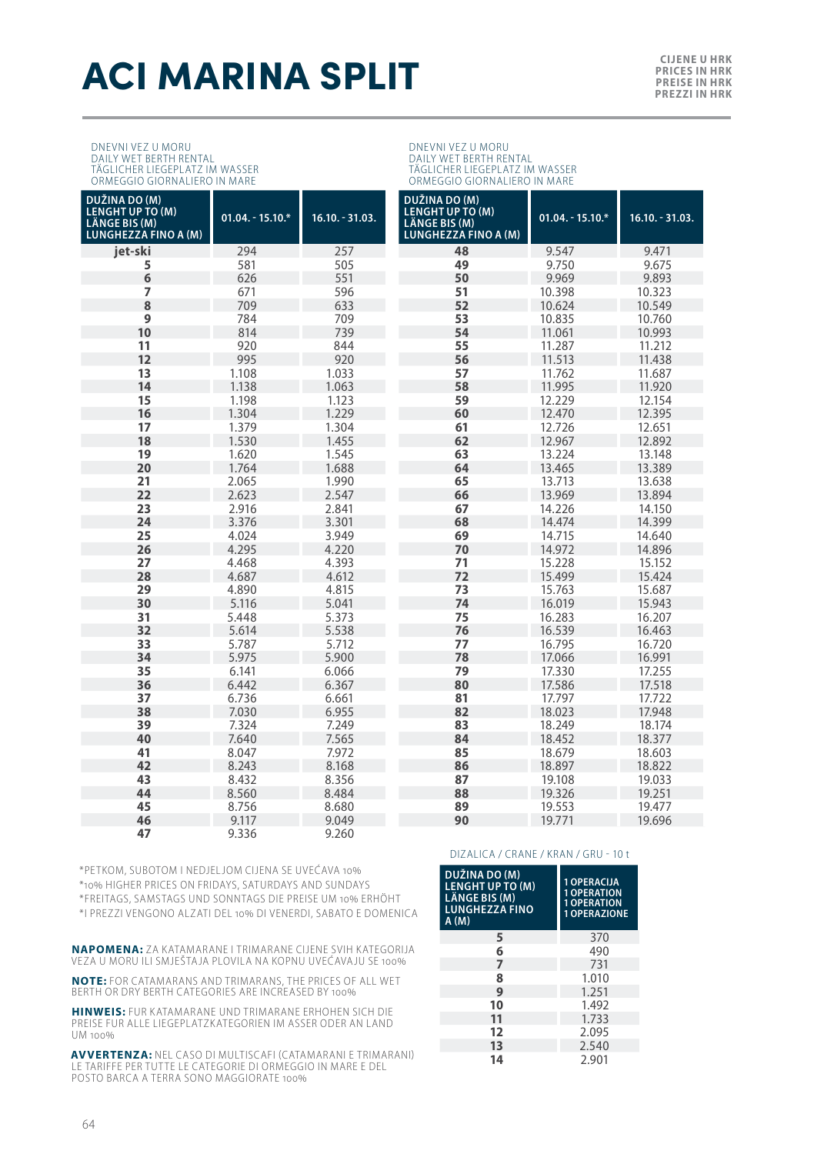## **ACI MARINA SPLIT** EXPRESS NURSE IN ENCESSIMER

DNEVNI VEZ U MORU DAILY WET BERTH RENTAL TÄGLICHER LIEGEPLATZ IM WASSER ORMEGGIO GIORNALIERO IN MARE

| ORMEGGIO GIORNALIERO IN MARE                                                      |                   |                   | ORMEGGIO GIORNALIERO IN MARE                                                      |                   |                   |  |
|-----------------------------------------------------------------------------------|-------------------|-------------------|-----------------------------------------------------------------------------------|-------------------|-------------------|--|
| DUŽINA DO (M)<br><b>LENGHT UP TO (M)</b><br>LÄNGE BIS (M)<br>LUNGHEZZA FINO A (M) | $01.04 - 15.10.*$ | $16.10. - 31.03.$ | DUŽINA DO (M)<br><b>LENGHT UP TO (M)</b><br>LÄNGE BIS (M)<br>LUNGHEZZA FINO A (M) | $01.04 - 15.10.*$ | $16.10 - 31.03$ . |  |
| jet-ski                                                                           | 294               | 257               | 48                                                                                | 9.547             | 9.471             |  |
| 5                                                                                 | 581               | 505               | 49                                                                                | 9.750             | 9.675             |  |
| 6                                                                                 | 626               | 551               | 50                                                                                | 9.969             | 9.893             |  |
| 7                                                                                 | 671               | 596               | 51                                                                                | 10.398            | 10.323            |  |
| 8                                                                                 | 709               | 633               | 52                                                                                | 10.624            | 10.549            |  |
| 9                                                                                 | 784               | 709               | 53                                                                                | 10.835            | 10.760            |  |
| 10                                                                                | 814               | 739               | 54                                                                                | 11.061            | 10.993            |  |
| 11                                                                                | 920               | 844               | 55                                                                                | 11.287            | 11.212            |  |
| 12                                                                                | 995               | 920               | 56                                                                                | 11.513            | 11.438            |  |
| 13                                                                                | 1.108             | 1.033             | 57                                                                                | 11.762            | 11.687            |  |
| 14                                                                                | 1.138             | 1.063             | 58                                                                                | 11.995            | 11.920            |  |
| 15                                                                                | 1.198             | 1.123             | 59                                                                                | 12.229            | 12.154            |  |
| 16                                                                                | 1.304             | 1.229             | 60                                                                                | 12.470            | 12.395            |  |
| 17                                                                                | 1.379             | 1.304             | 61                                                                                | 12.726            | 12.651            |  |
| 18                                                                                | 1.530             | 1.455             | 62                                                                                | 12.967            | 12.892            |  |
| 19                                                                                | 1.620             | 1.545             | 63                                                                                | 13.224            | 13.148            |  |
| 20                                                                                | 1.764             | 1.688             | 64                                                                                | 13.465            | 13.389            |  |
| 21                                                                                | 2.065             | 1.990             | 65                                                                                | 13.713            | 13.638            |  |
| 22                                                                                | 2.623             | 2.547             | 66                                                                                | 13.969            | 13.894            |  |
| 23                                                                                | 2.916             | 2.841             | 67                                                                                | 14.226            | 14.150            |  |
| 24                                                                                | 3.376             | 3.301<br>×        | 68                                                                                | 14.474            | 14.399            |  |
| 25                                                                                | 4.024             | 3.949             | 69                                                                                | 14.715            | 14.640            |  |
| 26                                                                                | 4.295             | 4.220             | 70                                                                                | 14.972            | 14.896            |  |
| 27                                                                                | 4.468             | 4.393             | 71                                                                                | 15.228            | 15.152            |  |
| 28                                                                                | 4.687             | 4.612             | 72                                                                                | 15.499            | 15.424            |  |
| 29                                                                                | 4.890             | 4.815             | 73                                                                                | 15.763            | 15.687            |  |
| 30                                                                                | 5.116             | 5.041             | 74                                                                                | 16.019            | 15.943            |  |
| 31                                                                                | 5.448             | 5.373             | 75                                                                                | 16.283            | 16.207            |  |
| 32                                                                                | 5.614             | 5.538             | 76                                                                                | 16.539            | 16.463            |  |
| 33                                                                                | 5.787             | 5.712             | 77                                                                                | 16.795            | 16.720            |  |
| 34                                                                                | 5.975             | 5.900             | 78                                                                                | 17.066            | 16.991            |  |
| 35                                                                                | 6.141             | 6.066             | 79                                                                                | 17.330            | 17.255            |  |
| 36                                                                                | 6.442             | 6.367             | 80                                                                                | 17.586            | 17.518            |  |
| 37                                                                                | 6.736             | 6.661             | 81                                                                                | 17.797            | 17.722            |  |
| 38                                                                                | 7.030             | 6.955             | 82                                                                                | 18.023            | 17.948            |  |
| 39                                                                                | 7.324             | 7.249             | 83                                                                                | 18.249            | 18.174            |  |
| 40                                                                                | 7.640             | 7.565             | 84                                                                                | 18.452            | 18.377            |  |
| 41                                                                                | 8.047             | 7.972             | 85                                                                                | 18.679            | 18.603            |  |
| 42                                                                                | 8.243             | 8.168             | 86                                                                                | 18.897            | 18.822            |  |
| 43                                                                                | 8.432             | 8.356             | 87                                                                                | 19.108            | 19.033            |  |
| 44<br>45                                                                          | 8.560             | 8.484             | 88                                                                                | 19.326            | 19.251            |  |
| 46                                                                                | 8.756<br>9.117    | 8.680<br>9.049    | 89<br>90                                                                          | 19.553<br>19.771  | 19.477<br>19.696  |  |
| 47                                                                                | 9.336             | 9.260             |                                                                                   |                   |                   |  |
|                                                                                   |                   |                   |                                                                                   |                   |                   |  |

DNEVNI VEZ U MORU DAILY WET BERTH RENTAL TÄGLICHER LIEGEPLATZ IM WASSER

\*PETKOM, SUBOTOM I NEDJELJOM CIJENA SE UVEĆAVA 10%

\*10% HIGHER PRICES ON FRIDAYS, SATURDAYS AND SUNDAYS

\*FREITAGS, SAMSTAGS UND SONNTAGS DIE PREISE UM 10% ERHÖHT

\*I PREZZI VENGONO ALZATI DEL 10% DI VENERDI, SABATO E DOMENICA

**NAPOMENA:** ZA KATAMARANE I TRIMARANE CIJENE SVIH KATEGORIJA VEZA U MORU ILI SMJEŠTAJA PLOVILA NA KOPNU UVEĆAVAJU SE 100%

**NOTE:** FOR CATAMARANS AND TRIMARANS, THE PRICES OF ALL WET BERTH OR DRY BERTH CATEGORIES ARE INCREASED BY 100%

**HINWEIS:** FUR KATAMARANE UND TRIMARANE ERHOHEN SICH DIE PREISE FUR ALLE LIEGEPLATZKATEGORIEN IM ASSER ODER AN LAND UM 100%

**AVVERTENZA:** NEL CASO DI MULTISCAFI (CATAMARANI E TRIMARANI) LE TARIFFE PER TUTTE LE CATEGORIE DI ORMEGGIO IN MARE E DEL<br>POSTO BARCA A TERRA SONO MAGGIORATE 100%

#### DIZALICA / CRANE / KRAN / GRU - 10 t

| DUŽINA DO (M)<br><b>LENGHT UP TO (M)</b><br>LÄNGE BIS (M)<br><b>LUNGHEZZA FINO</b><br>A(M) | 1 OPERACIJA<br><b>1 OPERATION</b><br><b>1 OPERATION</b><br>1 OPERAZIONE |
|--------------------------------------------------------------------------------------------|-------------------------------------------------------------------------|
| 5                                                                                          | 370                                                                     |
| 6                                                                                          | 490                                                                     |
| 7                                                                                          | 731                                                                     |
| 8                                                                                          | 1.010                                                                   |
| 9                                                                                          | 1.251                                                                   |
| 10                                                                                         | 1492                                                                    |
| 11                                                                                         | 1,733                                                                   |
| 12                                                                                         | 2.095                                                                   |
| 13                                                                                         | 2.540                                                                   |
| 14                                                                                         | 2901                                                                    |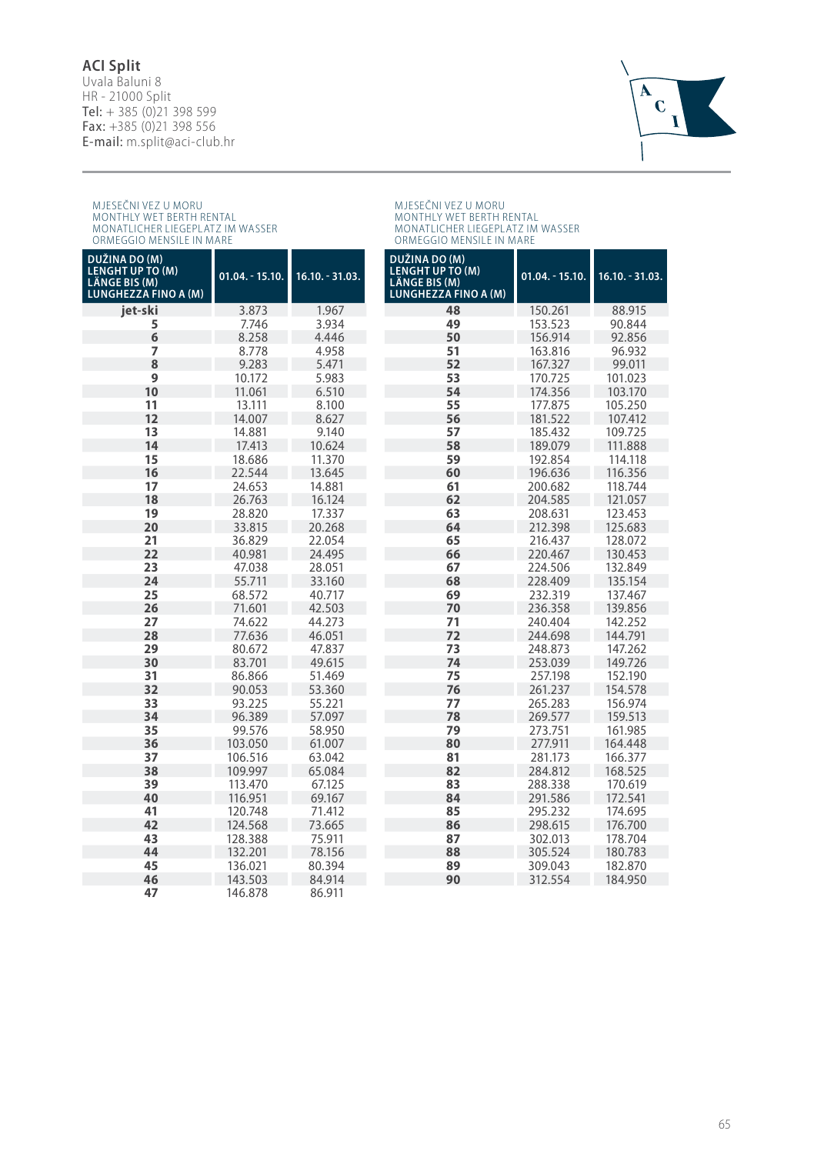#### **ACI Split**

Uvala Baluni 8 HR - 21000 Split Tel:  $+ 385 (0)21 398 599$ Fax: +385 (0)21 398 556 E-mail: m.split@aci-club.hr



## MJESECNI VEZ U MORU<br>MONTHLY WET BERTH RENTAL<br>MONATLICHER LIEGEPLATZ IM WASSER<br>ORMEGGIO MENSILE IN MARE

## MJESECNI VEZ U MORU<br>MONTHLY WET BERTH RENTAL<br>MONATLICHER LIEGEPLATZ IM WASSER<br>ORMEGGIO MENSILE IN MARE

| DUŽINA DO (M)<br><b>LENGHT UP TO (M)</b><br><b>LÄNGE BIS (M)</b><br><b>LUNGHEZZA FINO A (M)</b> | $01.04. - 15.10.$ | $16.10. - 31.03.$ | DUŽINA DO (M)<br><b>LENGHT UP TO (M)</b><br><b>LÄNGE BIS (M)</b><br><b>LUNGHEZZA FINO A (M)</b> | $01.04 - 15.10.$ | $16.10.-31.03.$ |
|-------------------------------------------------------------------------------------------------|-------------------|-------------------|-------------------------------------------------------------------------------------------------|------------------|-----------------|
| iet-ski                                                                                         | 3.873             | 1.967             | 48                                                                                              | 150.261          | 88.915          |
| 5                                                                                               | 7.746             | 3.934             | 49                                                                                              | 153.523          | 90.844          |
| 6                                                                                               | 8.258             | 4.446             | 50                                                                                              | 156.914          | 92.856          |
| 7                                                                                               | 8.778             | 4.958             | 51                                                                                              | 163.816          | 96.932          |
| 8                                                                                               | 9.283             | 5.471             | 52                                                                                              | 167.327          | 99.011          |
| 9                                                                                               | 10.172            | 5.983             | 53                                                                                              | 170.725          | 101.023         |
| 10                                                                                              | 11.061            | 6.510             | 54                                                                                              | 174.356          | 103.170         |
| 11                                                                                              | 13.111            | 8.100             | 55                                                                                              | 177.875          | 105.250         |
| 12                                                                                              | 14.007            | 8.627             | 56                                                                                              | 181.522          | 107.412         |
| 13                                                                                              | 14.881            | 9.140             | 57                                                                                              | 185.432          | 109.725         |
| 14                                                                                              | 17.413            | 10.624            | 58                                                                                              | 189.079          | 111.888         |
| 15                                                                                              | 18.686            | 11.370            | 59                                                                                              | 192.854          | 114.118         |
| 16                                                                                              | 22.544            | 13.645            | 60                                                                                              | 196.636          | 116.356         |
| 17                                                                                              | 24.653            | 14.881            | 61                                                                                              | 200.682          | 118.744         |
| 18                                                                                              | 26.763            | 16.124            | 62                                                                                              | 204.585          | 121.057         |
| 19                                                                                              | 28.820            | 17.337            | 63                                                                                              | 208.631          | 123.453         |
| 20                                                                                              | 33.815            | 20.268            | 64                                                                                              | 212.398          | 125.683         |
| 21                                                                                              | 36.829            | 22.054            | 65                                                                                              | 216.437          | 128.072         |
| 22                                                                                              | 40.981            | 24.495            | 66                                                                                              | 220.467          | 130.453         |
| 23                                                                                              | 47.038            | 28.051            | 67                                                                                              | 224.506          | 132.849         |
| 24                                                                                              | 55.711            | 33.160            | 68                                                                                              | 228.409          | 135.154         |
| 25                                                                                              | 68.572            | 40.717            | 69                                                                                              | 232.319          | 137.467         |
| 26                                                                                              | 71.601            | 42.503            | 70                                                                                              | 236.358          | 139.856         |
| 27                                                                                              | 74.622            | 44.273            | 71                                                                                              | 240.404          | 142.252         |
| 28                                                                                              | 77.636            | 46.051            | 72                                                                                              | 244.698          | 144.791         |
| 29                                                                                              | 80.672            | 47.837            | 73                                                                                              | 248.873          | 147.262         |
| 30                                                                                              | 83.701            | 49.615            | 74                                                                                              | 253.039          | 149.726         |
| 31                                                                                              | 86.866            | 51.469            | 75                                                                                              | 257.198          | 152.190         |
| 32                                                                                              | 90.053            | 53.360            | 76                                                                                              | 261.237          | 154.578         |
| 33                                                                                              | 93.225            | 55.221            | 77                                                                                              | 265.283          | 156.974         |
| 34                                                                                              | 96.389            | 57.097            | 78                                                                                              | 269.577          | 159.513         |
| 35                                                                                              | 99.576            | 58.950            | 79                                                                                              | 273.751          | 161.985         |
| 36                                                                                              | 103.050           | 61.007            | 80                                                                                              | 277.911          | 164.448         |
| 37                                                                                              | 106.516           | 63.042            | 81                                                                                              | 281.173          | 166.377         |
| 38                                                                                              | 109.997           | 65.084            | 82                                                                                              | 284.812          | 168.525         |
| 39                                                                                              | 113.470           | 67.125            | 83                                                                                              | 288.338          | 170.619         |
| 40                                                                                              | 116.951           | 69.167            | 84                                                                                              | 291.586          | 172.541         |
| 41                                                                                              | 120.748           | 71.412            | 85                                                                                              | 295.232          | 174.695         |
| 42                                                                                              | 124.568           | 73.665            | 86                                                                                              | 298.615          | 176.700         |
| 43                                                                                              | 128.388           | 75.911            | 87                                                                                              | 302.013          | 178.704         |
| 44                                                                                              | 132.201           | 78.156            | 88                                                                                              | 305.524          | 180.783         |
| 45                                                                                              | 136.021           | 80.394            | 89                                                                                              | 309.043          | 182.870         |
| 46                                                                                              | 143.503           | 84.914            | 90                                                                                              | 312.554          | 184.950         |
| 47                                                                                              | 146.878           | 86 911            |                                                                                                 |                  |                 |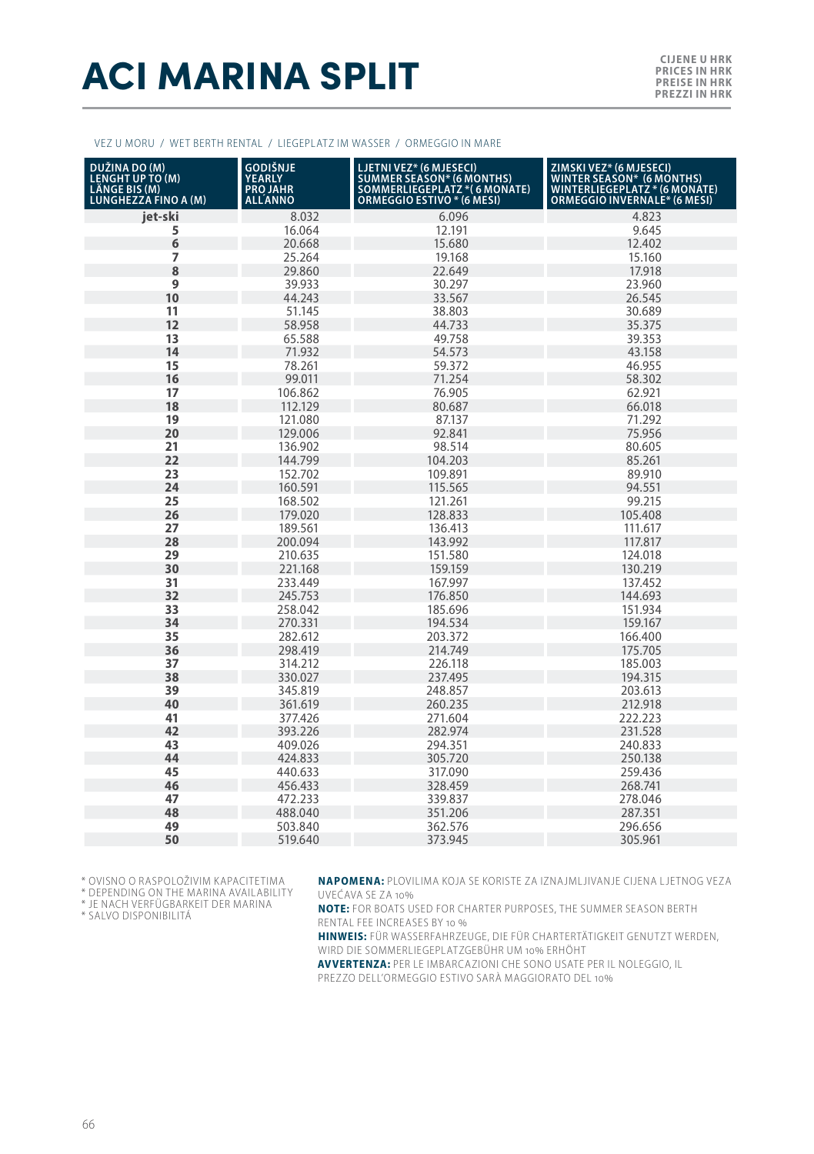## **ACI MARINA SPLIT**

#### VEZ U MORU / WET BERTH RENTAL / LIEGEPLATZ IM WASSER / ORMEGGIO IN MARE

| DUŽINA DO (M)<br>LENGHT UP TO (M)<br>LÄNGE BIS (M)<br><b>LUNGHEZZA FINO A (M)</b> | GODIŠNJE<br><b>YEARLY</b><br>ALLANNO | LJETNI VEZ* (6 MJESECI)<br>SUMMER SEASON* (6 MONTHS)<br>SOMMERLIEGEPLATZ *( 6 MONATE)<br>ORMEGGIO ESTIVO * (6 MESI) | ZIMSKI VEZ* (6 MJESECI)<br>WINTER SEASON* (6 MONTHS)<br>WINTERLIEGEPLATZ * (6 MONATE)<br><b>ORMEGGIO INVERNALE* (6 MESI)</b> |
|-----------------------------------------------------------------------------------|--------------------------------------|---------------------------------------------------------------------------------------------------------------------|------------------------------------------------------------------------------------------------------------------------------|
| jet-ski                                                                           | 8.032                                | 6.096                                                                                                               | 4.823                                                                                                                        |
| 5                                                                                 | 16.064                               | 12.191                                                                                                              | 9.645                                                                                                                        |
| 6                                                                                 | 20.668                               | 15.680                                                                                                              | 12.402                                                                                                                       |
| 7                                                                                 | 25.264                               | 19.168                                                                                                              | 15.160                                                                                                                       |
| 8                                                                                 | 29.860                               | 22.649                                                                                                              | 17.918                                                                                                                       |
| 9                                                                                 | 39.933                               | 30.297                                                                                                              | 23.960                                                                                                                       |
| 10                                                                                | 44.243                               | 33.567                                                                                                              | 26.545                                                                                                                       |
| 11                                                                                | 51.145                               | 38.803                                                                                                              | 30.689                                                                                                                       |
| 12                                                                                | 58.958                               | 44.733                                                                                                              | 35.375                                                                                                                       |
| 13                                                                                | 65.588                               | 49.758                                                                                                              | 39.353                                                                                                                       |
| 14                                                                                | 71.932                               | 54.573                                                                                                              | 43.158                                                                                                                       |
| 15                                                                                | 78.261                               | 59.372                                                                                                              | 46.955                                                                                                                       |
| 16                                                                                | 99.011                               | 71.254                                                                                                              | 58.302                                                                                                                       |
| 17                                                                                | 106.862                              | 76.905                                                                                                              | 62.921                                                                                                                       |
| 18                                                                                | 112.129                              | 80.687                                                                                                              | 66.018                                                                                                                       |
| 19                                                                                | 121.080                              | 87.137                                                                                                              | 71.292                                                                                                                       |
| 20                                                                                | 129.006                              | 92.841                                                                                                              | 75.956                                                                                                                       |
| 21                                                                                | 136.902                              | 98.514                                                                                                              | 80.605                                                                                                                       |
| 22                                                                                | 144.799                              | 104.203                                                                                                             | 85.261                                                                                                                       |
| 23                                                                                | 152.702                              | 109.891                                                                                                             | 89.910                                                                                                                       |
| 24                                                                                | 160.591                              | 115.565                                                                                                             | 94.551                                                                                                                       |
| 25                                                                                | 168.502                              | 121.261                                                                                                             | 99.215                                                                                                                       |
| 26                                                                                | 179.020                              | 128.833                                                                                                             | 105.408                                                                                                                      |
| 27                                                                                | 189.561                              | 136.413                                                                                                             | 111.617                                                                                                                      |
| 28                                                                                | 200.094                              | 143.992                                                                                                             | 117.817                                                                                                                      |
| 29                                                                                | 210.635                              | 151.580                                                                                                             | 124.018                                                                                                                      |
| 30                                                                                | 221.168                              | 159.159                                                                                                             | 130.219                                                                                                                      |
| 31                                                                                | 233.449                              | 167.997                                                                                                             | 137.452                                                                                                                      |
| 32                                                                                | 245.753                              | 176.850                                                                                                             | 144.693                                                                                                                      |
| 33                                                                                | 258.042                              | 185.696                                                                                                             | 151.934                                                                                                                      |
| 34                                                                                | 270.331                              | 194.534                                                                                                             | 159.167                                                                                                                      |
| 35                                                                                | 282.612                              | 203.372                                                                                                             | 166.400                                                                                                                      |
| 36                                                                                | 298.419                              | 214.749                                                                                                             | 175.705                                                                                                                      |
| 37                                                                                | 314.212                              | 226.118                                                                                                             | 185.003                                                                                                                      |
| 38                                                                                | 330.027                              | 237.495                                                                                                             | 194.315                                                                                                                      |
| 39                                                                                | 345.819                              | 248.857                                                                                                             | 203.613                                                                                                                      |
| 40                                                                                | 361.619                              | 260.235                                                                                                             | 212.918                                                                                                                      |
| 41                                                                                | 377.426                              | 271.604                                                                                                             | 222.223                                                                                                                      |
| 42                                                                                | 393.226                              | 282.974                                                                                                             | 231.528                                                                                                                      |
| 43                                                                                | 409.026                              | 294.351                                                                                                             | 240.833                                                                                                                      |
| 44                                                                                | 424.833                              | 305.720                                                                                                             | 250.138                                                                                                                      |
| 45                                                                                | 440.633                              | 317.090                                                                                                             | 259.436                                                                                                                      |
| 46                                                                                | 456.433                              | 328.459                                                                                                             | 268.741                                                                                                                      |
| 47                                                                                | 472.233                              | 339.837                                                                                                             | 278.046                                                                                                                      |
| 48                                                                                | 488.040                              | 351.206                                                                                                             | 287.351                                                                                                                      |
| 49                                                                                | 503.840                              | 362.576                                                                                                             | 296.656                                                                                                                      |
| 50                                                                                | 519.640                              | 373.945                                                                                                             | 305.961                                                                                                                      |

\* OVISNO O RASPOLOŽIVIM KAPACITETIMA

\* DEPENDING ON THE MARINA AVAILABILITY

\* JE NACH VERFÜGBARKEIT DER MARINA

\* SALVO DISPONIBILITÁ

**NAPOMENA:** PLOVILIMA KOJA SE KORISTE ZA IZNAJMLJIVANJE CIJENA LJETNOG VEZA UVEĆAVA SE ZA 10%

**NOTE:** FOR BOATS USED FOR CHARTER PURPOSES, THE SUMMER SEASON BERTH RENTAL FEE INCREASES BY 10 %

**HINWEIS:** FÜR WASSERFAHRZEUGE, DIE FÜR CHARTERTÄTIGKEIT GENUTZT WERDEN, WIRD DIE SOMMERLIEGEPLATZGEBÜHR UM 10% ERHÖHT

**AVVERTENZA:** PER LE IMBARCAZIONI CHE SONO USATE PER IL NOLEGGIO, IL PREZZO DELL'ORMEGGIO ESTIVO SARÀ MAGGIORATO DEL 10%